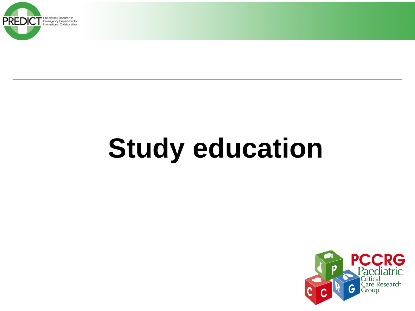

# **Study education**

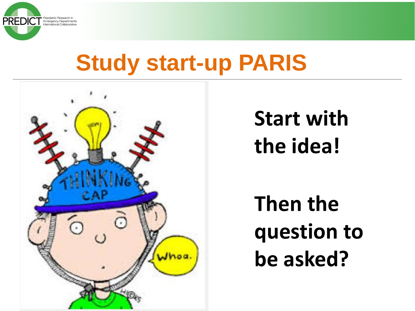



**Start with the idea!**

**Then the question to be asked?**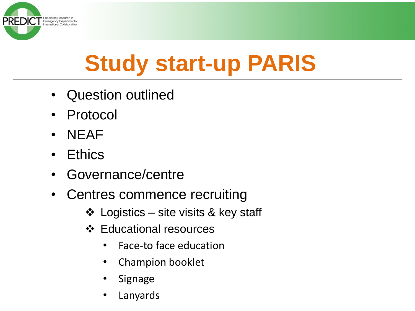

- Question outlined
- Protocol
- NEAF
- Ethics
- Governance/centre
- Centres commence recruiting
	- $\triangleleft$  Logistics site visits & key staff
	- Educational resources
		- Face-to face education
		- Champion booklet
		- Signage
		- Lanyards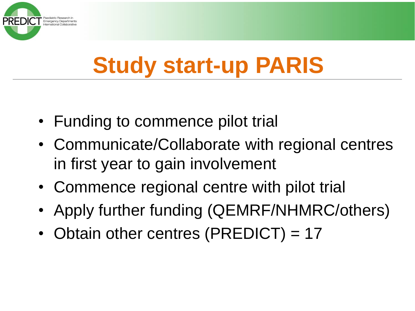

- Funding to commence pilot trial
- Communicate/Collaborate with regional centres in first year to gain involvement
- Commence regional centre with pilot trial
- Apply further funding (QEMRF/NHMRC/others)
- Obtain other centres (PREDICT) = 17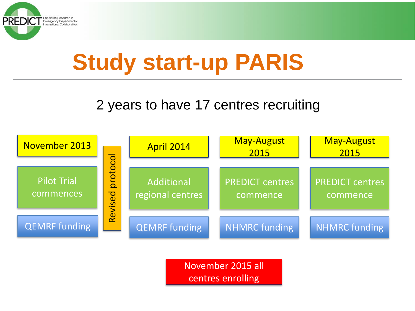

#### 2 years to have 17 centres recruiting



November 2015 all centres enrolling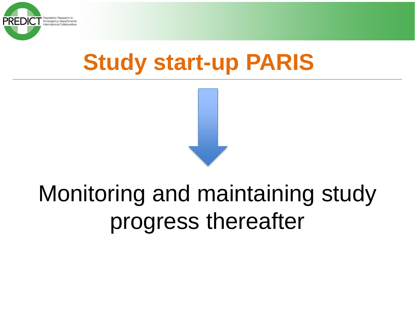



## Monitoring and maintaining study progress thereafter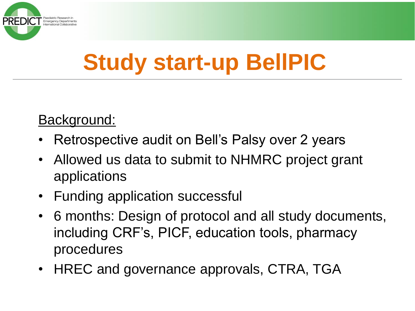

# **Study start-up BellPIC**

#### Background:

- Retrospective audit on Bell's Palsy over 2 years
- Allowed us data to submit to NHMRC project grant applications
- Funding application successful
- 6 months: Design of protocol and all study documents, including CRF's, PICF, education tools, pharmacy procedures
- HREC and governance approvals, CTRA, TGA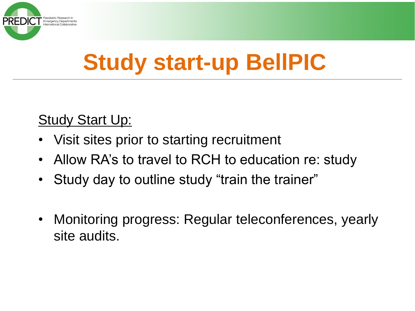

# **Study start-up BellPIC**

#### Study Start Up:

- Visit sites prior to starting recruitment
- Allow RA's to travel to RCH to education re: study
- Study day to outline study "train the trainer"
- Monitoring progress: Regular teleconferences, yearly site audits.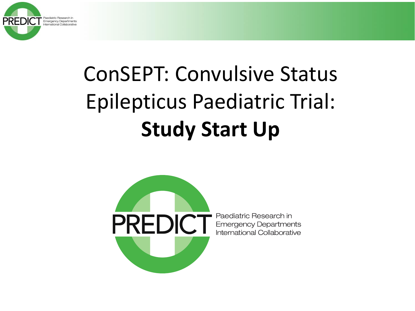

## ConSEPT: Convulsive Status Epilepticus Paediatric Trial: **Study Start Up**



Paediatric Research in **Emergency Departments** International Collaborative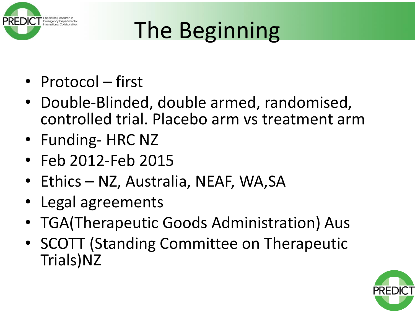

# The Beginning

- Protocol first
- Double-Blinded, double armed, randomised, controlled trial. Placebo arm vs treatment arm
- Funding- HRC NZ
- Feb 2012-Feb 2015
- Ethics NZ, Australia, NEAF, WA,SA
- Legal agreements
- TGA(Therapeutic Goods Administration) Aus
- SCOTT (Standing Committee on Therapeutic Trials)NZ

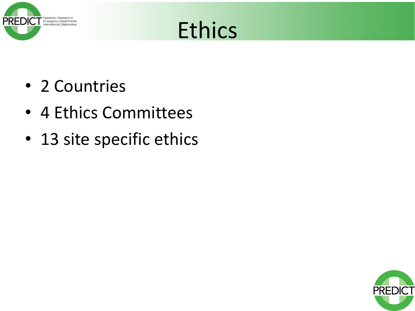

### **Ethics**

- 2 Countries
- 4 Ethics Committees
- 13 site specific ethics

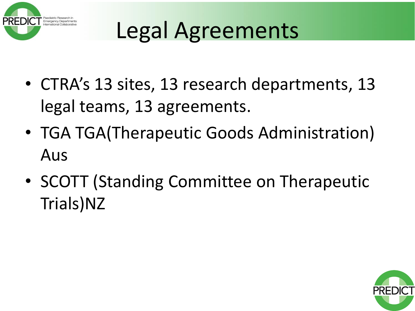

## Legal Agreements

- CTRA's 13 sites, 13 research departments, 13 legal teams, 13 agreements.
- TGA TGA(Therapeutic Goods Administration) Aus
- SCOTT (Standing Committee on Therapeutic Trials)NZ

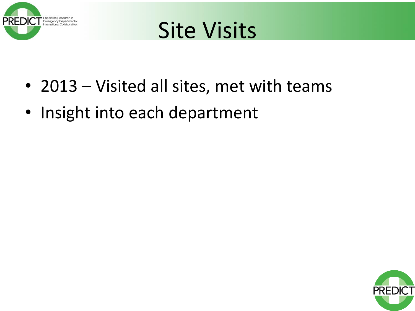

### Site Visits

- 2013 Visited all sites, met with teams
- Insight into each department

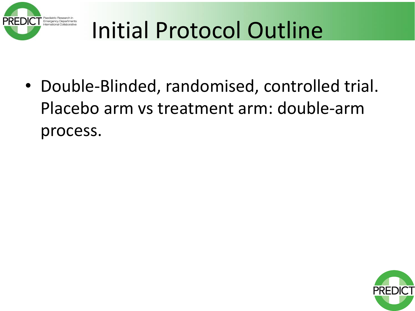

## Initial Protocol Outline

• Double-Blinded, randomised, controlled trial. Placebo arm vs treatment arm: double-arm process.

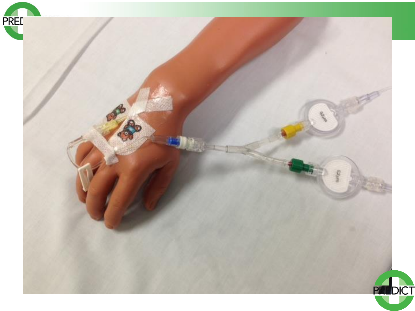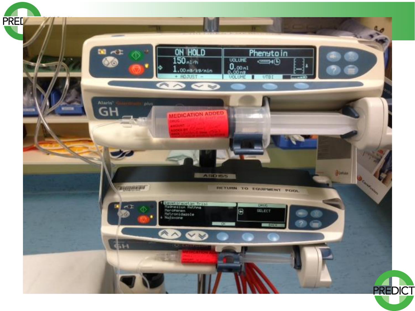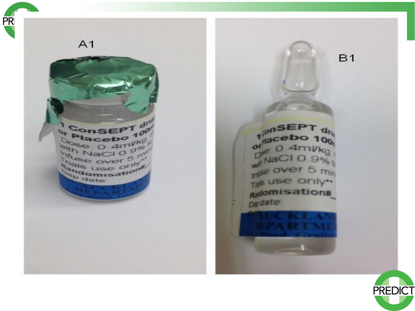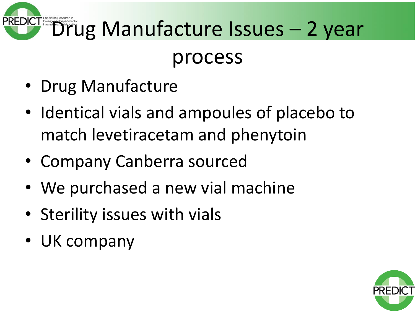# PREDICT Drug Manufacture Issues - 2 year

#### process

- Drug Manufacture
- Identical vials and ampoules of placebo to match levetiracetam and phenytoin
- Company Canberra sourced
- We purchased a new vial machine
- Sterility issues with vials
- UK company

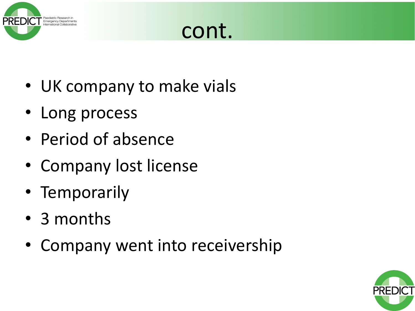

#### cont.

- UK company to make vials
- Long process
- Period of absence
- Company lost license
- Temporarily
- 3 months
- Company went into receivership

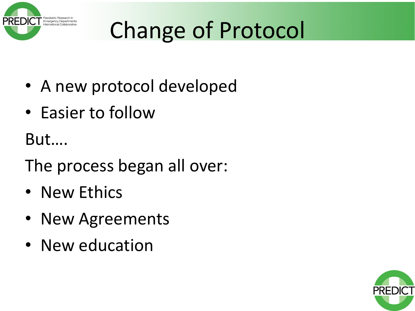

## Change of Protocol

- A new protocol developed
- Easier to follow

But….

- The process began all over:
- New Ethics
- New Agreements
- New education

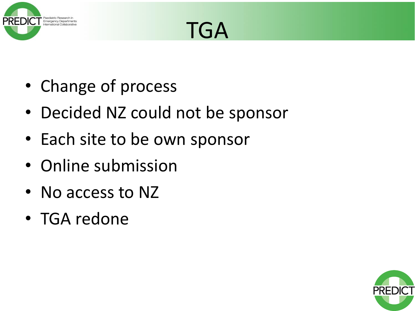



- Change of process
- Decided NZ could not be sponsor
- Each site to be own sponsor
- Online submission
- No access to NZ
- TGA redone

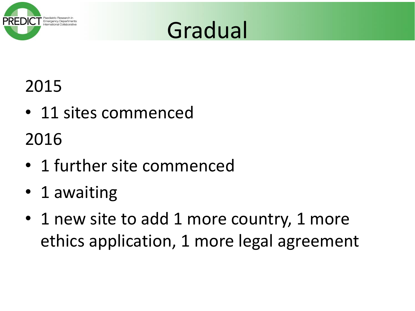



#### 2015

- 11 sites commenced 2016
- 1 further site commenced
- 1 awaiting
- 1 new site to add 1 more country, 1 more ethics application, 1 more legal agreement